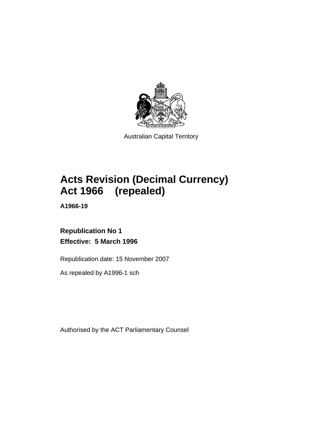

Australian Capital Territory

# **Acts Revision (Decimal Currency) Act 1966 (repealed)**

**A1966-19** 

**Republication No 1 Effective: 5 March 1996** 

Republication date: 15 November 2007

As repealed by A1996-1 sch

Authorised by the ACT Parliamentary Counsel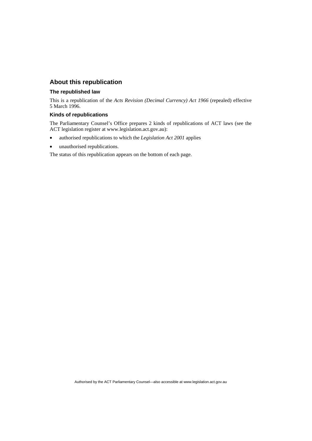## **About this republication**

## **The republished law**

This is a republication of the *Acts Revision (Decimal Currency) Act 1966* (repealed) effective 5 March 1996.

## **Kinds of republications**

The Parliamentary Counsel's Office prepares 2 kinds of republications of ACT laws (see the ACT legislation register at www.legislation.act.gov.au):

- authorised republications to which the *Legislation Act 2001* applies
- unauthorised republications.

The status of this republication appears on the bottom of each page.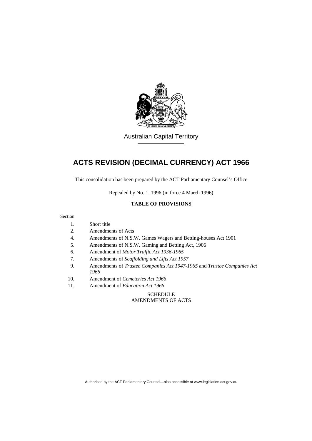

Australian Capital Territory

# **ACTS REVISION (DECIMAL CURRENCY) ACT 1966**

This consolidation has been prepared by the ACT Parliamentary Counsel's Office

Repealed by No. 1, 1996 (in force 4 March 1996)

## **TABLE OF PROVISIONS**

### Section

- 1. Short title
- 2. Amendments of Acts
- 4. Amendments of N.S.W. Games Wagers and Betting-houses Act 1901
- 5. Amendments of N.S.W. Gaming and Betting Act, 1906
- 6. Amendment of *Motor Traffic Act 1936-1965*
- 7. Amendments of *Scaffolding and Lifts Act 1957*
- 9. Amendments of *Trustee Companies Act 1947-1965* and *Trustee Companies Act 1966*
- 10. Amendment of *Cemeteries Act 1966*
- 11. Amendment of *Education Act 1966*

## **SCHEDULE** AMENDMENTS OF ACTS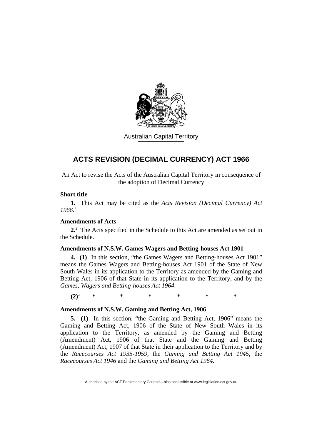

Australian Capital Territory

## **ACTS REVISION (DECIMAL CURRENCY) ACT 1966**

An Act to revise the Acts of the Australian Capital Territory in consequence of the adoption of Decimal Currency

## **Short title**

**1.** This Act may be cited as the *Acts Revision (Decimal Currency) Act 1966*. 1

## **Amendments of Acts**

**2.**2 The Acts specified in the Schedule to this Act are amended as set out in the Schedule.

## **Amendments of N.S.W. Games Wagers and Betting-houses Act 1901**

**4. (1)** In this section, "the Games Wagers and Betting-houses Act 1901" means the Games Wagers and Betting-houses Act 1901 of the State of New South Wales in its application to the Territory as amended by the Gaming and Betting Act, 1906 of that State in its application to the Territory, and by the *Games, Wagers and Betting-houses Act 1964*.

 $(2)^3$ \* \* \* \* \* \*

## **Amendments of N.S.W. Gaming and Betting Act, 1906**

**5. (1)** In this section, "the Gaming and Betting Act, 1906" means the Gaming and Betting Act, 1906 of the State of New South Wales in its application to the Territory, as amended by the Gaming and Betting (Amendment) Act, 1906 of that State and the Gaming and Betting (Amendment) Act, 1907 of that State in their application to the Territory and by the *Racecourses Act 1935-1959*, the *Gaming and Betting Act 1945*, the *Racecourses Act 1946* and the *Gaming and Betting Act 1964*.

Authorised by the ACT Parliamentary Counsel—also accessible at www.legislation.act.gov.au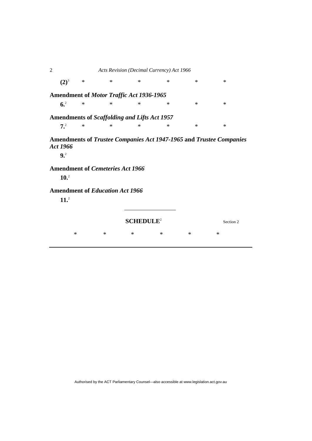2 *Acts Revision (Decimal Currency) Act 1966*   $(2)^3$  \* \* \* \* \* \* **Amendment of** *Motor Traffic Act 1936-1965* **6.**2  $\begin{array}{ccccccccccccccccccccc} * & * & * & * & * & * & * & * & * \end{array}$ **Amendments of** *Scaffolding and Lifts Act 1957* **7.**2  $\begin{array}{ccccccccccccccccccccc} * & * & * & * & * & * & * & * & * \end{array}$ **Amendments of** *Trustee Companies Act 1947-1965* **and** *Trustee Companies Act 1966* **9.**2  **Amendment of** *Cemeteries Act 1966*  $10.<sup>2</sup>$ **Amendment of** *Education Act 1966* **11.**<sup>2</sup> **SCHEDULE<sup>2</sup>** Section 2 \* \* \* \* \* \*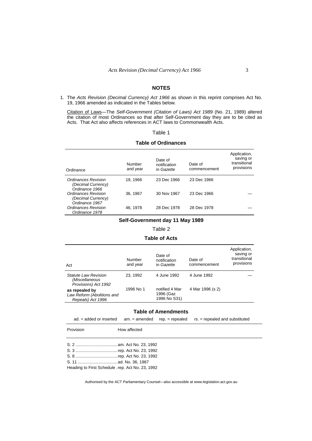## **NOTES**

1. The *Acts Revision (Decimal Currency) Act 1966* as shown in this reprint comprises Act No. 19, 1966 amended as indicated in the Tables below.

 Citation of Laws—The *Self-Government (Citation of Laws) Act 1989* (No. 21, 1989) altered the citation of most Ordinances so that after Self-Government day they are to be cited as Acts. That Act also affects references in ACT laws to Commonwealth Acts.

## Table 1

#### **Table of Ordinances**

| Ordinance                                                   | Number<br>and year | Date of<br>notification<br>in Gazette | Date of<br>commencement | Application,<br>saving or<br>transitional<br>provisions |
|-------------------------------------------------------------|--------------------|---------------------------------------|-------------------------|---------------------------------------------------------|
| Ordinances Revision<br>(Decimal Currency)<br>Ordinance 1966 | 19, 1966           | 23 Dec 1966                           | 23 Dec 1966             |                                                         |
| Ordinances Revision<br>(Decimal Currency)<br>Ordinance 1967 | 36, 1967           | 30 Nov 1967                           | 23 Dec 1966             |                                                         |
| Ordinances Revision<br>Ordinance 1978                       | 46.1978            | 28 Dec 1978                           | 28 Dec 1978             |                                                         |

## **Self-Government day 11 May 1989**

#### Table 2

#### **Table of Acts**

| Act                                                                   | Number<br>and year | Date of<br>notification<br>in Gazette       | Date of<br>commencement | Application,<br>saving or<br>transitional<br>provisions |
|-----------------------------------------------------------------------|--------------------|---------------------------------------------|-------------------------|---------------------------------------------------------|
| <b>Statute Law Revision</b><br>(Miscellaneous<br>Provisions) Act 1992 | 23.1992            | 4 June 1992                                 | 4 June 1992             |                                                         |
| as repealed by<br>Law Reform (Abolitions and<br>Repeals) Act 1996     | 1996 No 1          | notified 4 Mar<br>1996 (Gaz<br>1996 No S31) | 4 Mar 1996 (s 2)        |                                                         |

### **Table of Amendments**

|  |  |  | $ad. = added$ or inserted $am. = amended$ rep. $= repeated$ repealed rs. $= repeated$ and substituted |
|--|--|--|-------------------------------------------------------------------------------------------------------|
|--|--|--|-------------------------------------------------------------------------------------------------------|

- Provision **How affected**
- S. 2 ....................................am. Act No. 23, 1992
- S. 3 ....................................rep. Act No. 23, 1992
- S. 8 ....................................rep. Act No. 23, 1992
- S. 11 ..................................ad. No. 36, 1967
- Heading to First Schedule .rep. Act No. 23, 1992

Authorised by the ACT Parliamentary Counsel—also accessible at www.legislation.act.gov.au